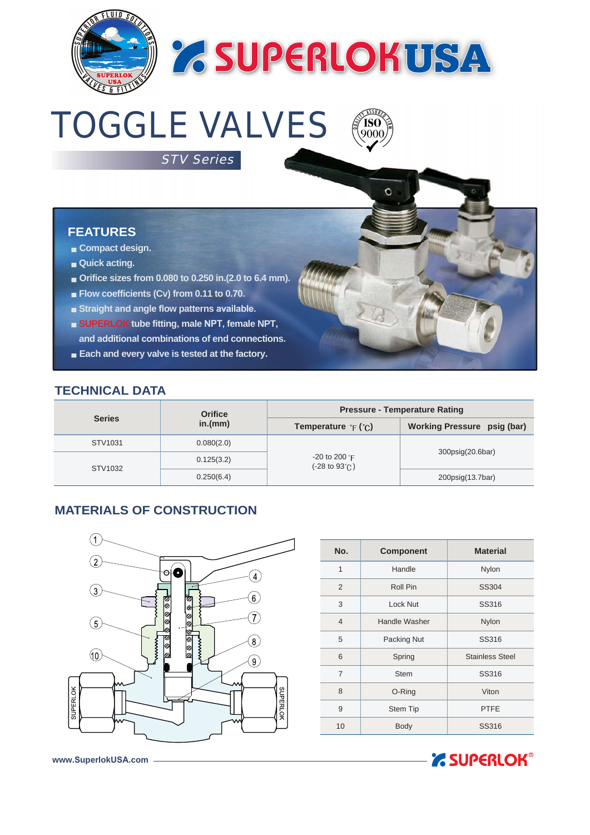

# **Z SUPERLOKUSA**

**750)**<br>9000

 $\mathbf{o}$ 

# TOGGLE VALVES

STV Series

### **FEATURES**

- **Compact design.**
- **Quick acting.**
- **Orifice sizes from 0.080 to 0.250 in.(2.0 to 6.4 mm).**
- **Flow coefficients (Cv) from 0.11 to 0.70.**
- **Straight and angle flow patterns available.**
- **SUPERLOK tube fitting, male NPT, female NPT, and additional combinations of end connections.**
- **Each and every valve is tested at the factory.**

#### **TECHNICAL DATA**

|               | <b>Orifice</b> | <b>Pressure - Temperature Rating</b>                                 |                             |  |  |  |  |  |
|---------------|----------------|----------------------------------------------------------------------|-----------------------------|--|--|--|--|--|
| <b>Series</b> | in.(mm)        | <b>Temperature</b> $\in$ ( $\in$ )                                   | Working Pressure psig (bar) |  |  |  |  |  |
| STV1031       | 0.080(2.0)     |                                                                      | 300psig(20.6bar)            |  |  |  |  |  |
| STV1032       | 0.125(3.2)     | -20 to 200 $^{\circ}$ F<br>$(-28 \text{ to } 93^{\circ}$ $\text{C})$ |                             |  |  |  |  |  |
|               | 0.250(6.4)     |                                                                      | 200psig(13.7bar)            |  |  |  |  |  |

## **MATERIALS OF CONSTRUCTION**



| No.            | <b>Component</b> | <b>Material</b>        |  |  |  |  |
|----------------|------------------|------------------------|--|--|--|--|
| 1              | Handle           | Nylon                  |  |  |  |  |
| 2              | Roll Pin         | SS304                  |  |  |  |  |
| 3              | Lock Nut         | SS316                  |  |  |  |  |
| $\overline{4}$ | Handle Washer    | Nylon                  |  |  |  |  |
| 5              | Packing Nut      | SS316                  |  |  |  |  |
| 6              | Spring           | <b>Stainless Steel</b> |  |  |  |  |
| 7              | <b>Stem</b>      | SS316                  |  |  |  |  |
| 8              | O-Ring           | Viton                  |  |  |  |  |
| 9              | Stem Tip         | <b>PTFE</b>            |  |  |  |  |
| 10             | <b>Body</b>      | <b>SS316</b>           |  |  |  |  |



**www.SuperlokUSA.com**